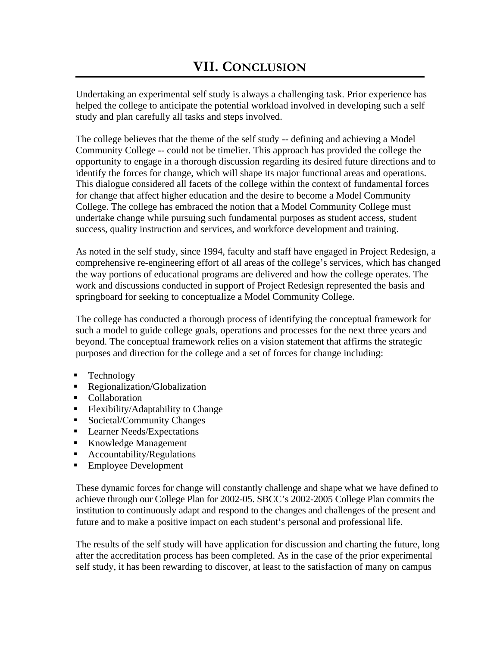Undertaking an experimental self study is always a challenging task. Prior experience has helped the college to anticipate the potential workload involved in developing such a self study and plan carefully all tasks and steps involved.

The college believes that the theme of the self study -- defining and achieving a Model Community College -- could not be timelier. This approach has provided the college the opportunity to engage in a thorough discussion regarding its desired future directions and to identify the forces for change, which will shape its major functional areas and operations. This dialogue considered all facets of the college within the context of fundamental forces for change that affect higher education and the desire to become a Model Community College. The college has embraced the notion that a Model Community College must undertake change while pursuing such fundamental purposes as student access, student success, quality instruction and services, and workforce development and training.

As noted in the self study, since 1994, faculty and staff have engaged in Project Redesign, a comprehensive re-engineering effort of all areas of the college's services, which has changed the way portions of educational programs are delivered and how the college operates. The work and discussions conducted in support of Project Redesign represented the basis and springboard for seeking to conceptualize a Model Community College.

The college has conducted a thorough process of identifying the conceptual framework for such a model to guide college goals, operations and processes for the next three years and beyond. The conceptual framework relies on a vision statement that affirms the strategic purposes and direction for the college and a set of forces for change including:

- $\blacksquare$  Technology
- Regionalization/Globalization
- Collaboration
- Flexibility/Adaptability to Change
- Societal/Community Changes
- Learner Needs/Expectations
- Knowledge Management
- $\blacksquare$  Accountability/Regulations
- ß Employee Development

These dynamic forces for change will constantly challenge and shape what we have defined to achieve through our College Plan for 2002-05. SBCC's 2002-2005 College Plan commits the institution to continuously adapt and respond to the changes and challenges of the present and future and to make a positive impact on each student's personal and professional life.

The results of the self study will have application for discussion and charting the future, long after the accreditation process has been completed. As in the case of the prior experimental self study, it has been rewarding to discover, at least to the satisfaction of many on campus